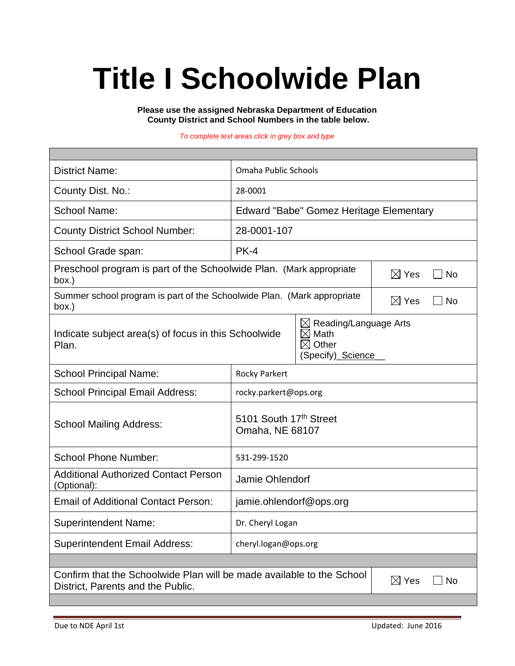# **Title I Schoolwide Plan**

**Please use the assigned Nebraska Department of Education County District and School Numbers in the table below.**

*To complete text areas click in grey box and type*

| <b>District Name:</b>                                                                                                                                                  | Omaha Public Schools                      |                              |                              |  |
|------------------------------------------------------------------------------------------------------------------------------------------------------------------------|-------------------------------------------|------------------------------|------------------------------|--|
| County Dist. No.:                                                                                                                                                      | 28-0001                                   |                              |                              |  |
| <b>School Name:</b>                                                                                                                                                    | Edward "Babe" Gomez Heritage Elementary   |                              |                              |  |
| <b>County District School Number:</b>                                                                                                                                  | 28-0001-107                               |                              |                              |  |
| School Grade span:                                                                                                                                                     | $PK-4$                                    |                              |                              |  |
| Preschool program is part of the Schoolwide Plan. (Mark appropriate<br>box.)                                                                                           |                                           |                              | $\boxtimes$ Yes<br><b>No</b> |  |
| Summer school program is part of the Schoolwide Plan. (Mark appropriate<br>box.)                                                                                       |                                           | $\boxtimes$ Yes<br><b>No</b> |                              |  |
| $\boxtimes$ Reading/Language Arts<br>Indicate subject area(s) of focus in this Schoolwide<br>$\boxtimes$<br>Math<br>Other<br>$\boxtimes$<br>Plan.<br>(Specify)_Science |                                           |                              |                              |  |
| <b>School Principal Name:</b>                                                                                                                                          | <b>Rocky Parkert</b>                      |                              |                              |  |
| <b>School Principal Email Address:</b>                                                                                                                                 | rocky.parkert@ops.org                     |                              |                              |  |
| <b>School Mailing Address:</b>                                                                                                                                         | 5101 South 17th Street<br>Omaha, NE 68107 |                              |                              |  |
| <b>School Phone Number:</b>                                                                                                                                            | 531-299-1520                              |                              |                              |  |
| <b>Additional Authorized Contact Person</b><br>(Optional):                                                                                                             | Jamie Ohlendorf                           |                              |                              |  |
| <b>Email of Additional Contact Person:</b>                                                                                                                             | jamie.ohlendorf@ops.org                   |                              |                              |  |
| <b>Superintendent Name:</b>                                                                                                                                            | Dr. Cheryl Logan                          |                              |                              |  |
| <b>Superintendent Email Address:</b>                                                                                                                                   | cheryl.logan@ops.org                      |                              |                              |  |
|                                                                                                                                                                        |                                           |                              |                              |  |
| Confirm that the Schoolwide Plan will be made available to the School<br>$\boxtimes$ Yes<br>District, Parents and the Public.                                          |                                           |                              | No                           |  |
|                                                                                                                                                                        |                                           |                              |                              |  |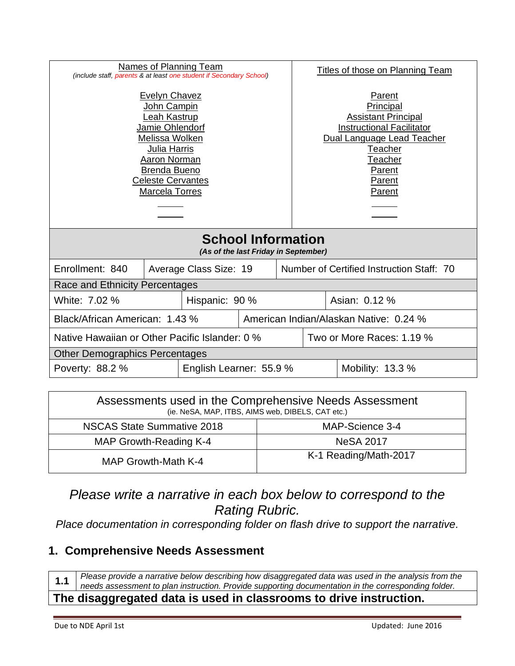| <b>Evelyn Chavez</b><br>Parent<br>John Campin<br>Principal<br>Leah Kastrup<br><b>Assistant Principal</b><br>Jamie Ohlendorf<br><b>Instructional Facilitator</b><br>Melissa Wolken<br>Dual Language Lead Teacher<br>Julia Harris<br>Teacher<br>Aaron Norman<br>Teacher<br>Brenda Bueno<br>Parent<br><b>Celeste Cervantes</b><br>Parent<br>Marcela Torres<br>Parent<br><b>School Information</b><br>(As of the last Friday in September) | Names of Planning Team<br>(include staff, parents & at least one student if Secondary School) |  |                        | Titles of those on Planning Team |  |                                           |  |
|----------------------------------------------------------------------------------------------------------------------------------------------------------------------------------------------------------------------------------------------------------------------------------------------------------------------------------------------------------------------------------------------------------------------------------------|-----------------------------------------------------------------------------------------------|--|------------------------|----------------------------------|--|-------------------------------------------|--|
|                                                                                                                                                                                                                                                                                                                                                                                                                                        |                                                                                               |  |                        |                                  |  |                                           |  |
|                                                                                                                                                                                                                                                                                                                                                                                                                                        |                                                                                               |  |                        |                                  |  |                                           |  |
|                                                                                                                                                                                                                                                                                                                                                                                                                                        | Enrollment: 840                                                                               |  | Average Class Size: 19 |                                  |  | Number of Certified Instruction Staff: 70 |  |
| <b>Race and Ethnicity Percentages</b>                                                                                                                                                                                                                                                                                                                                                                                                  |                                                                                               |  |                        |                                  |  |                                           |  |
| Asian: 0.12 %<br>Hispanic: 90 %                                                                                                                                                                                                                                                                                                                                                                                                        | White: 7.02 %                                                                                 |  |                        |                                  |  |                                           |  |
| American Indian/Alaskan Native: 0.24 %                                                                                                                                                                                                                                                                                                                                                                                                 | Black/African American: 1.43 %                                                                |  |                        |                                  |  |                                           |  |
| Two or More Races: 1.19 %                                                                                                                                                                                                                                                                                                                                                                                                              | Native Hawaiian or Other Pacific Islander: 0 %                                                |  |                        |                                  |  |                                           |  |
| Other Demographics Percentages                                                                                                                                                                                                                                                                                                                                                                                                         |                                                                                               |  |                        |                                  |  |                                           |  |
| English Learner: 55.9 %<br>Mobility: 13.3 %                                                                                                                                                                                                                                                                                                                                                                                            | Poverty: 88.2 %                                                                               |  |                        |                                  |  |                                           |  |

| Assessments used in the Comprehensive Needs Assessment<br>(ie. NeSA, MAP, ITBS, AIMS web, DIBELS, CAT etc.) |                       |  |
|-------------------------------------------------------------------------------------------------------------|-----------------------|--|
| NSCAS State Summative 2018                                                                                  | MAP-Science 3-4       |  |
| MAP Growth-Reading K-4                                                                                      | <b>NeSA 2017</b>      |  |
| MAP Growth-Math K-4                                                                                         | K-1 Reading/Math-2017 |  |

# *Please write a narrative in each box below to correspond to the Rating Rubric.*

*Place documentation in corresponding folder on flash drive to support the narrative.*

#### **1. Comprehensive Needs Assessment**

1.1 Please provide a narrative below describing how disaggregated data was used in the analysis from the  $\vert$  needs assessment to plan instruction. Provide supporting documentation in the corresponding folder. **The disaggregated data is used in classrooms to drive instruction.**

#### Due to NDE April 1st Updated: June 2016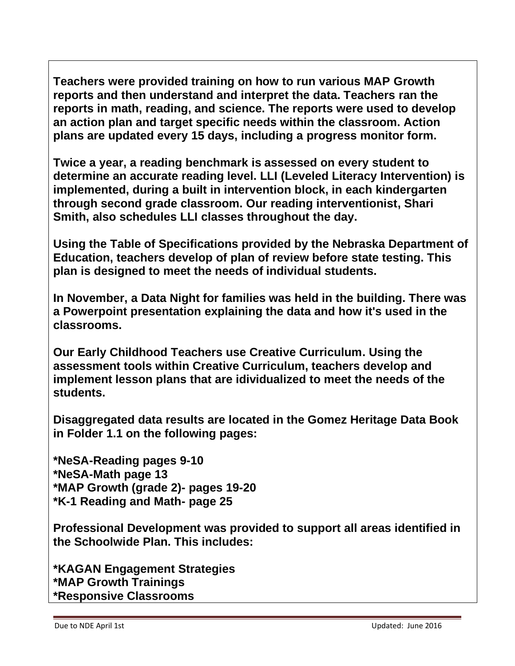**Teachers were provided training on how to run various MAP Growth reports and then understand and interpret the data. Teachers ran the reports in math, reading, and science. The reports were used to develop an action plan and target specific needs within the classroom. Action plans are updated every 15 days, including a progress monitor form.** 

**Twice a year, a reading benchmark is assessed on every student to determine an accurate reading level. LLI (Leveled Literacy Intervention) is implemented, during a built in intervention block, in each kindergarten through second grade classroom. Our reading interventionist, Shari Smith, also schedules LLI classes throughout the day.**

**Using the Table of Specifications provided by the Nebraska Department of Education, teachers develop of plan of review before state testing. This plan is designed to meet the needs of individual students.** 

**In November, a Data Night for families was held in the building. There was a Powerpoint presentation explaining the data and how it's used in the classrooms.**

**Our Early Childhood Teachers use Creative Curriculum. Using the assessment tools within Creative Curriculum, teachers develop and implement lesson plans that are idividualized to meet the needs of the students.** 

**Disaggregated data results are located in the Gomez Heritage Data Book in Folder 1.1 on the following pages:**

**\*NeSA-Reading pages 9-10 \*NeSA-Math page 13 \*MAP Growth (grade 2)- pages 19-20 \*K-1 Reading and Math- page 25**

**Professional Development was provided to support all areas identified in the Schoolwide Plan. This includes:**

**\*KAGAN Engagement Strategies \*MAP Growth Trainings \*Responsive Classrooms**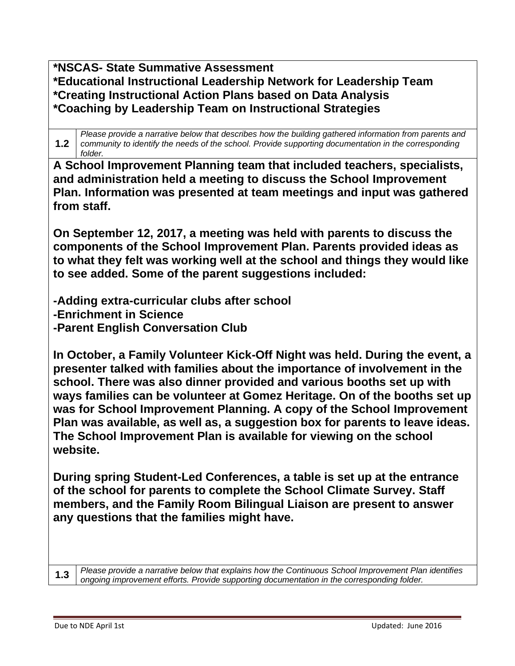**\*NSCAS- State Summative Assessment \*Educational Instructional Leadership Network for Leadership Team \*Creating Instructional Action Plans based on Data Analysis \*Coaching by Leadership Team on Instructional Strategies**

**1.2** *Please provide a narrative below that describes how the building gathered information from parents and community to identify the needs of the school. Provide supporting documentation in the corresponding folder.*

**A School Improvement Planning team that included teachers, specialists, and administration held a meeting to discuss the School Improvement Plan. Information was presented at team meetings and input was gathered from staff.**

**On September 12, 2017, a meeting was held with parents to discuss the components of the School Improvement Plan. Parents provided ideas as to what they felt was working well at the school and things they would like to see added. Some of the parent suggestions included:**

**-Adding extra-curricular clubs after school -Enrichment in Science -Parent English Conversation Club**

**In October, a Family Volunteer Kick-Off Night was held. During the event, a presenter talked with families about the importance of involvement in the school. There was also dinner provided and various booths set up with ways families can be volunteer at Gomez Heritage. On of the booths set up was for School Improvement Planning. A copy of the School Improvement Plan was available, as well as, a suggestion box for parents to leave ideas. The School Improvement Plan is available for viewing on the school website.**

**During spring Student-Led Conferences, a table is set up at the entrance of the school for parents to complete the School Climate Survey. Staff members, and the Family Room Bilingual Liaison are present to answer any questions that the families might have.** 

**1.3** *Please provide a narrative below that explains how the Continuous School Improvement Plan identifies ongoing improvement efforts. Provide supporting documentation in the corresponding folder.*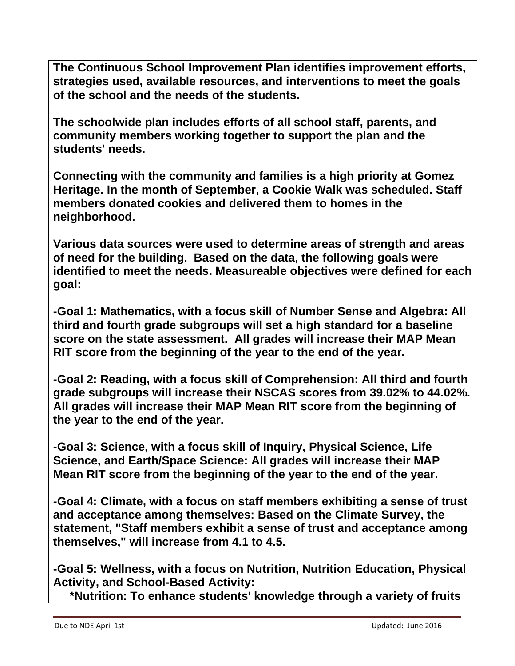**The Continuous School Improvement Plan identifies improvement efforts, strategies used, available resources, and interventions to meet the goals of the school and the needs of the students.**

**The schoolwide plan includes efforts of all school staff, parents, and community members working together to support the plan and the students' needs.**

**Connecting with the community and families is a high priority at Gomez Heritage. In the month of September, a Cookie Walk was scheduled. Staff members donated cookies and delivered them to homes in the neighborhood.** 

**Various data sources were used to determine areas of strength and areas of need for the building. Based on the data, the following goals were identified to meet the needs. Measureable objectives were defined for each goal:**

**-Goal 1: Mathematics, with a focus skill of Number Sense and Algebra: All third and fourth grade subgroups will set a high standard for a baseline score on the state assessment. All grades will increase their MAP Mean RIT score from the beginning of the year to the end of the year.**

**-Goal 2: Reading, with a focus skill of Comprehension: All third and fourth grade subgroups will increase their NSCAS scores from 39.02% to 44.02%. All grades will increase their MAP Mean RIT score from the beginning of the year to the end of the year.**

**-Goal 3: Science, with a focus skill of Inquiry, Physical Science, Life Science, and Earth/Space Science: All grades will increase their MAP Mean RIT score from the beginning of the year to the end of the year.**

**-Goal 4: Climate, with a focus on staff members exhibiting a sense of trust and acceptance among themselves: Based on the Climate Survey, the statement, "Staff members exhibit a sense of trust and acceptance among themselves," will increase from 4.1 to 4.5.**

**-Goal 5: Wellness, with a focus on Nutrition, Nutrition Education, Physical Activity, and School-Based Activity:** 

 **\*Nutrition: To enhance students' knowledge through a variety of fruits**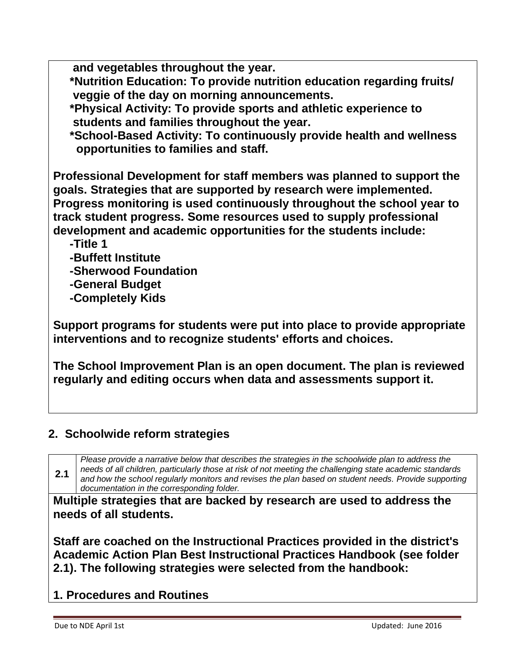**and vegetables throughout the year.**

 **\*Nutrition Education: To provide nutrition education regarding fruits/ veggie of the day on morning announcements.**

 **\*Physical Activity: To provide sports and athletic experience to students and families throughout the year.**

 **\*School-Based Activity: To continuously provide health and wellness opportunities to families and staff.**

**Professional Development for staff members was planned to support the goals. Strategies that are supported by research were implemented. Progress monitoring is used continuously throughout the school year to track student progress. Some resources used to supply professional development and academic opportunities for the students include:**

 **-Title 1**

- **-Buffett Institute**
- **-Sherwood Foundation**
- **-General Budget**
- **-Completely Kids**

**Support programs for students were put into place to provide appropriate interventions and to recognize students' efforts and choices.**

**The School Improvement Plan is an open document. The plan is reviewed regularly and editing occurs when data and assessments support it.** 

# **2. Schoolwide reform strategies**

**2.1** *Please provide a narrative below that describes the strategies in the schoolwide plan to address the needs of all children, particularly those at risk of not meeting the challenging state academic standards and how the school regularly monitors and revises the plan based on student needs. Provide supporting documentation in the corresponding folder.*

**Multiple strategies that are backed by research are used to address the needs of all students.**

**Staff are coached on the Instructional Practices provided in the district's Academic Action Plan Best Instructional Practices Handbook (see folder 2.1). The following strategies were selected from the handbook:**

# **1. Procedures and Routines**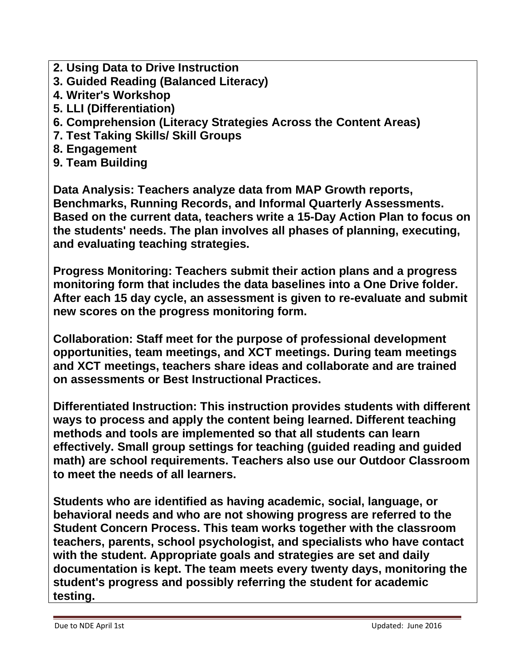- **2. Using Data to Drive Instruction**
- **3. Guided Reading (Balanced Literacy)**
- **4. Writer's Workshop**
- **5. LLI (Differentiation)**
- **6. Comprehension (Literacy Strategies Across the Content Areas)**
- **7. Test Taking Skills/ Skill Groups**
- **8. Engagement**
- **9. Team Building**

**Data Analysis: Teachers analyze data from MAP Growth reports, Benchmarks, Running Records, and Informal Quarterly Assessments. Based on the current data, teachers write a 15-Day Action Plan to focus on the students' needs. The plan involves all phases of planning, executing, and evaluating teaching strategies.**

**Progress Monitoring: Teachers submit their action plans and a progress monitoring form that includes the data baselines into a One Drive folder. After each 15 day cycle, an assessment is given to re-evaluate and submit new scores on the progress monitoring form.**

**Collaboration: Staff meet for the purpose of professional development opportunities, team meetings, and XCT meetings. During team meetings and XCT meetings, teachers share ideas and collaborate and are trained on assessments or Best Instructional Practices.** 

**Differentiated Instruction: This instruction provides students with different ways to process and apply the content being learned. Different teaching methods and tools are implemented so that all students can learn effectively. Small group settings for teaching (guided reading and guided math) are school requirements. Teachers also use our Outdoor Classroom to meet the needs of all learners.**

**Students who are identified as having academic, social, language, or behavioral needs and who are not showing progress are referred to the Student Concern Process. This team works together with the classroom teachers, parents, school psychologist, and specialists who have contact with the student. Appropriate goals and strategies are set and daily documentation is kept. The team meets every twenty days, monitoring the student's progress and possibly referring the student for academic testing.**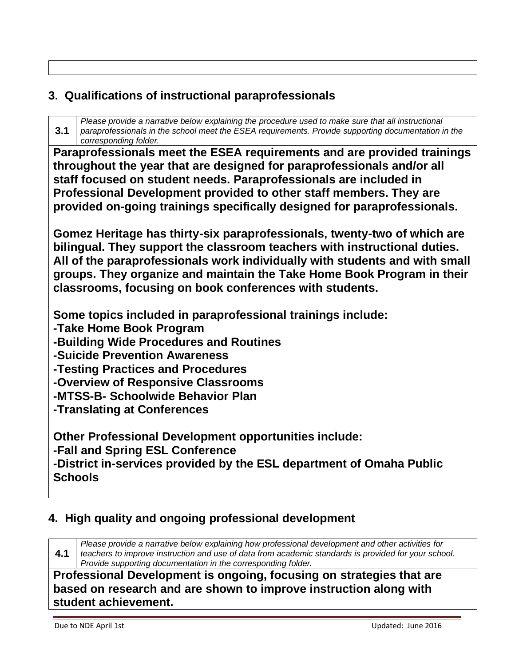# **3. Qualifications of instructional paraprofessionals**

**3.1** *Please provide a narrative below explaining the procedure used to make sure that all instructional paraprofessionals in the school meet the ESEA requirements. Provide supporting documentation in the corresponding folder.*

**Paraprofessionals meet the ESEA requirements and are provided trainings throughout the year that are designed for paraprofessionals and/or all staff focused on student needs. Paraprofessionals are included in Professional Development provided to other staff members. They are provided on-going trainings specifically designed for paraprofessionals.**

**Gomez Heritage has thirty-six paraprofessionals, twenty-two of which are bilingual. They support the classroom teachers with instructional duties. All of the paraprofessionals work individually with students and with small groups. They organize and maintain the Take Home Book Program in their classrooms, focusing on book conferences with students.** 

**Some topics included in paraprofessional trainings include:**

**-Take Home Book Program** 

**-Building Wide Procedures and Routines**

**-Suicide Prevention Awareness**

**-Testing Practices and Procedures**

**-Overview of Responsive Classrooms**

**-MTSS-B- Schoolwide Behavior Plan**

**-Translating at Conferences**

**Other Professional Development opportunities include:**

**-Fall and Spring ESL Conference**

**-District in-services provided by the ESL department of Omaha Public Schools**

#### **4. High quality and ongoing professional development**

**4.1** *Please provide a narrative below explaining how professional development and other activities for teachers to improve instruction and use of data from academic standards is provided for your school. Provide supporting documentation in the corresponding folder.*

**Professional Development is ongoing, focusing on strategies that are based on research and are shown to improve instruction along with student achievement.**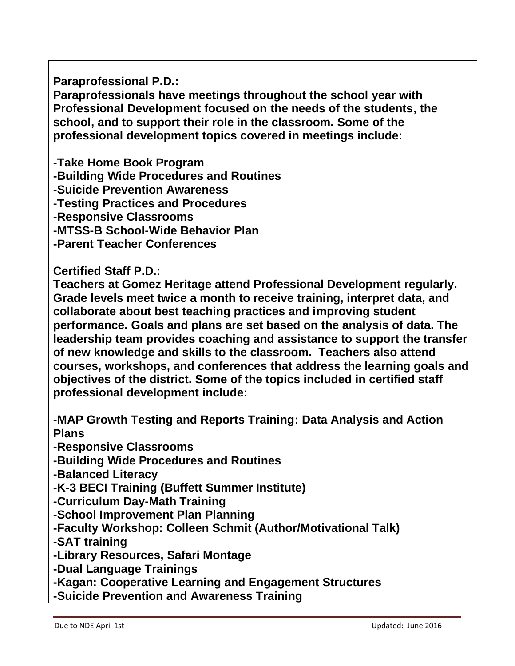**Paraprofessional P.D.:**

**Paraprofessionals have meetings throughout the school year with Professional Development focused on the needs of the students, the school, and to support their role in the classroom. Some of the professional development topics covered in meetings include:**

**-Take Home Book Program**

**-Building Wide Procedures and Routines**

**-Suicide Prevention Awareness**

**-Testing Practices and Procedures**

**-Responsive Classrooms**

**-MTSS-B School-Wide Behavior Plan**

**-Parent Teacher Conferences**

**Certified Staff P.D.:**

**Teachers at Gomez Heritage attend Professional Development regularly. Grade levels meet twice a month to receive training, interpret data, and collaborate about best teaching practices and improving student performance. Goals and plans are set based on the analysis of data. The leadership team provides coaching and assistance to support the transfer of new knowledge and skills to the classroom. Teachers also attend courses, workshops, and conferences that address the learning goals and objectives of the district. Some of the topics included in certified staff professional development include:**

**-MAP Growth Testing and Reports Training: Data Analysis and Action Plans**

**-Responsive Classrooms**

**-Building Wide Procedures and Routines**

**-Balanced Literacy**

**-K-3 BECI Training (Buffett Summer Institute)**

**-Curriculum Day-Math Training**

**-School Improvement Plan Planning**

**-Faculty Workshop: Colleen Schmit (Author/Motivational Talk)**

**-SAT training**

**-Library Resources, Safari Montage**

**-Dual Language Trainings**

**-Kagan: Cooperative Learning and Engagement Structures**

**-Suicide Prevention and Awareness Training**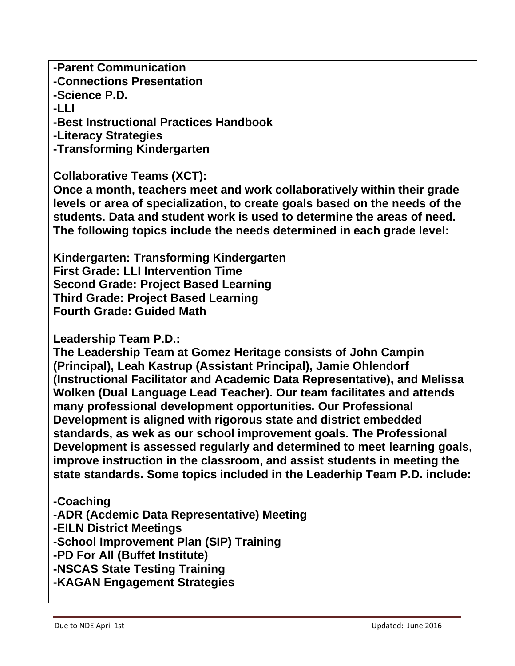**-Parent Communication -Connections Presentation -Science P.D. -LLI -Best Instructional Practices Handbook -Literacy Strategies -Transforming Kindergarten Collaborative Teams (XCT):**

**Once a month, teachers meet and work collaboratively within their grade levels or area of specialization, to create goals based on the needs of the students. Data and student work is used to determine the areas of need. The following topics include the needs determined in each grade level:**

**Kindergarten: Transforming Kindergarten First Grade: LLI Intervention Time Second Grade: Project Based Learning Third Grade: Project Based Learning Fourth Grade: Guided Math**

**Leadership Team P.D.:**

**The Leadership Team at Gomez Heritage consists of John Campin (Principal), Leah Kastrup (Assistant Principal), Jamie Ohlendorf (Instructional Facilitator and Academic Data Representative), and Melissa Wolken (Dual Language Lead Teacher). Our team facilitates and attends many professional development opportunities. Our Professional Development is aligned with rigorous state and district embedded standards, as wek as our school improvement goals. The Professional Development is assessed regularly and determined to meet learning goals, improve instruction in the classroom, and assist students in meeting the state standards. Some topics included in the Leaderhip Team P.D. include:**

**-Coaching**

**-ADR (Acdemic Data Representative) Meeting**

**-EILN District Meetings**

**-School Improvement Plan (SIP) Training**

**-PD For All (Buffet Institute)**

**-NSCAS State Testing Training**

**-KAGAN Engagement Strategies**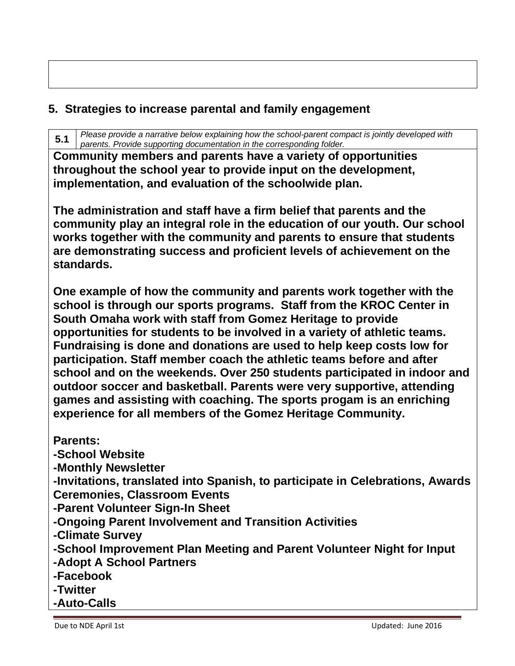# **5. Strategies to increase parental and family engagement**

**5.1** *Please provide a narrative below explaining how the school-parent compact is jointly developed with parents. Provide supporting documentation in the corresponding folder.*

**Community members and parents have a variety of opportunities throughout the school year to provide input on the development, implementation, and evaluation of the schoolwide plan.**

**The administration and staff have a firm belief that parents and the community play an integral role in the education of our youth. Our school works together with the community and parents to ensure that students are demonstrating success and proficient levels of achievement on the standards.** 

**One example of how the community and parents work together with the school is through our sports programs. Staff from the KROC Center in South Omaha work with staff from Gomez Heritage to provide opportunities for students to be involved in a variety of athletic teams. Fundraising is done and donations are used to help keep costs low for participation. Staff member coach the athletic teams before and after school and on the weekends. Over 250 students participated in indoor and outdoor soccer and basketball. Parents were very supportive, attending games and assisting with coaching. The sports progam is an enriching experience for all members of the Gomez Heritage Community.**

**Parents: -School Website -Monthly Newsletter -Invitations, translated into Spanish, to participate in Celebrations, Awards Ceremonies, Classroom Events -Parent Volunteer Sign-In Sheet -Ongoing Parent Involvement and Transition Activities -Climate Survey -School Improvement Plan Meeting and Parent Volunteer Night for Input -Adopt A School Partners -Facebook -Twitter -Auto-Calls**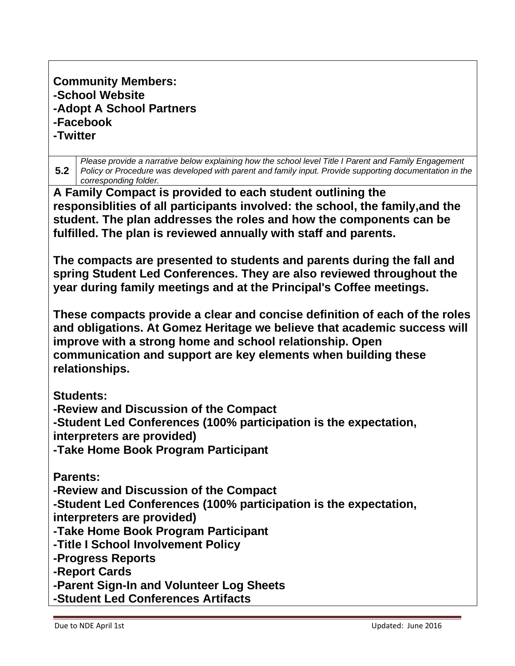**Community Members: -School Website -Adopt A School Partners -Facebook -Twitter**

**5.2** *Please provide a narrative below explaining how the school level Title I Parent and Family Engagement Policy or Procedure was developed with parent and family input. Provide supporting documentation in the corresponding folder.* **A Family Compact is provided to each student outlining the responsiblities of all participants involved: the school, the family,and the student. The plan addresses the roles and how the components can be fulfilled. The plan is reviewed annually with staff and parents. The compacts are presented to students and parents during the fall and spring Student Led Conferences. They are also reviewed throughout the year during family meetings and at the Principal's Coffee meetings. These compacts provide a clear and concise definition of each of the roles and obligations. At Gomez Heritage we believe that academic success will improve with a strong home and school relationship. Open communication and support are key elements when building these relationships. Students: -Review and Discussion of the Compact -Student Led Conferences (100% participation is the expectation, interpreters are provided) -Take Home Book Program Participant Parents: -Review and Discussion of the Compact**

**-Student Led Conferences (100% participation is the expectation, interpreters are provided)**

**-Take Home Book Program Participant**

**-Title I School Involvement Policy**

**-Progress Reports**

**-Report Cards**

**-Parent Sign-In and Volunteer Log Sheets**

**-Student Led Conferences Artifacts**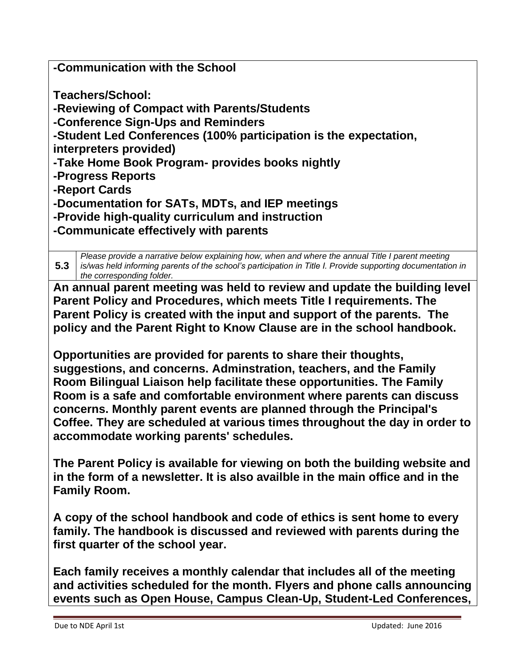**-Communication with the School**

**Teachers/School:**

**-Reviewing of Compact with Parents/Students**

**-Conference Sign-Ups and Reminders**

**-Student Led Conferences (100% participation is the expectation,** 

**interpreters provided)**

**-Take Home Book Program- provides books nightly**

**-Progress Reports**

**-Report Cards**

**-Documentation for SATs, MDTs, and IEP meetings**

**-Provide high-quality curriculum and instruction**

**-Communicate effectively with parents**

**5.3** *Please provide a narrative below explaining how, when and where the annual Title I parent meeting is/was held informing parents of the school's participation in Title I. Provide supporting documentation in the corresponding folder.*

**An annual parent meeting was held to review and update the building level Parent Policy and Procedures, which meets Title I requirements. The Parent Policy is created with the input and support of the parents. The policy and the Parent Right to Know Clause are in the school handbook.** 

**Opportunities are provided for parents to share their thoughts, suggestions, and concerns. Adminstration, teachers, and the Family Room Bilingual Liaison help facilitate these opportunities. The Family Room is a safe and comfortable environment where parents can discuss concerns. Monthly parent events are planned through the Principal's Coffee. They are scheduled at various times throughout the day in order to accommodate working parents' schedules.** 

**The Parent Policy is available for viewing on both the building website and in the form of a newsletter. It is also availble in the main office and in the Family Room.**

**A copy of the school handbook and code of ethics is sent home to every family. The handbook is discussed and reviewed with parents during the first quarter of the school year.**

**Each family receives a monthly calendar that includes all of the meeting and activities scheduled for the month. Flyers and phone calls announcing events such as Open House, Campus Clean-Up, Student-Led Conferences,**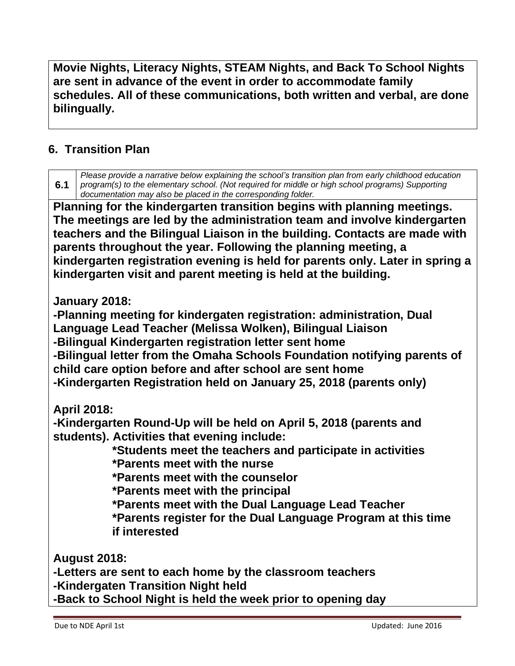**Movie Nights, Literacy Nights, STEAM Nights, and Back To School Nights are sent in advance of the event in order to accommodate family schedules. All of these communications, both written and verbal, are done bilingually.** 

# **6. Transition Plan**

| Please provide a narrative below explaining the school's transition plan from early childhood education<br>6.1<br>program(s) to the elementary school. (Not required for middle or high school programs) Supporting<br>documentation may also be placed in the corresponding folder.                                                                                                                                                                   |
|--------------------------------------------------------------------------------------------------------------------------------------------------------------------------------------------------------------------------------------------------------------------------------------------------------------------------------------------------------------------------------------------------------------------------------------------------------|
| Planning for the kindergarten transition begins with planning meetings.<br>The meetings are led by the administration team and involve kindergarten<br>teachers and the Bilingual Liaison in the building. Contacts are made with<br>parents throughout the year. Following the planning meeting, a<br>kindergarten registration evening is held for parents only. Later in spring a<br>kindergarten visit and parent meeting is held at the building. |
| January 2018:<br>-Planning meeting for kindergaten registration: administration, Dual<br>Language Lead Teacher (Melissa Wolken), Bilingual Liaison<br>-Bilingual Kindergarten registration letter sent home<br>-Bilingual letter from the Omaha Schools Foundation notifying parents of<br>child care option before and after school are sent home<br>-Kindergarten Registration held on January 25, 2018 (parents only)                               |
| <b>April 2018:</b><br>-Kindergarten Round-Up will be held on April 5, 2018 (parents and<br>students). Activities that evening include:<br>*Students meet the teachers and participate in activities<br>*Parents meet with the nurse<br>*Parents meet with the counselor<br>*Parents meet with the principal<br>*Parents meet with the Dual Language Lead Teacher<br>*Parents register for the Dual Language Program at this time<br>if interested      |
| <b>August 2018:</b><br>-Letters are sent to each home by the classroom teachers<br>-Kindergaten Transition Night held<br>-Back to School Night is held the week prior to opening day                                                                                                                                                                                                                                                                   |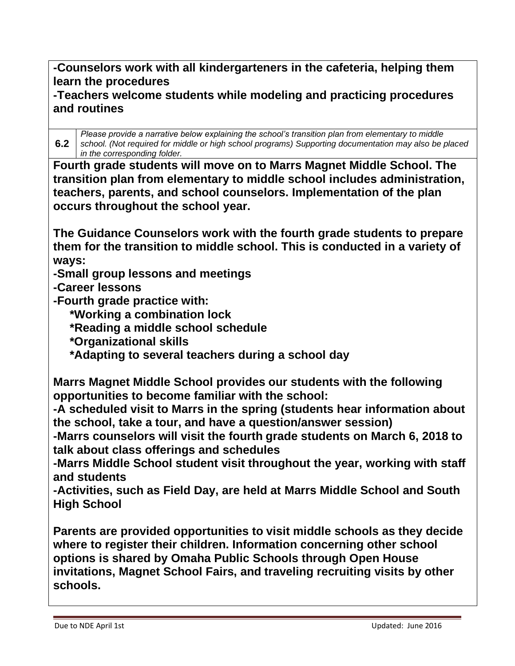**-Counselors work with all kindergarteners in the cafeteria, helping them learn the procedures**

#### **-Teachers welcome students while modeling and practicing procedures and routines**

**6.2** *Please provide a narrative below explaining the school's transition plan from elementary to middle school. (Not required for middle or high school programs) Supporting documentation may also be placed in the corresponding folder.*

**Fourth grade students will move on to Marrs Magnet Middle School. The transition plan from elementary to middle school includes administration, teachers, parents, and school counselors. Implementation of the plan occurs throughout the school year.**

**The Guidance Counselors work with the fourth grade students to prepare them for the transition to middle school. This is conducted in a variety of ways:**

**-Small group lessons and meetings**

**-Career lessons**

**-Fourth grade practice with:**

 **\*Working a combination lock**

 **\*Reading a middle school schedule**

 **\*Organizational skills**

 **\*Adapting to several teachers during a school day**

**Marrs Magnet Middle School provides our students with the following opportunities to become familiar with the school:**

**-A scheduled visit to Marrs in the spring (students hear information about the school, take a tour, and have a question/answer session)**

**-Marrs counselors will visit the fourth grade students on March 6, 2018 to talk about class offerings and schedules**

**-Marrs Middle School student visit throughout the year, working with staff and students**

**-Activities, such as Field Day, are held at Marrs Middle School and South High School**

**Parents are provided opportunities to visit middle schools as they decide where to register their children. Information concerning other school options is shared by Omaha Public Schools through Open House invitations, Magnet School Fairs, and traveling recruiting visits by other schools.**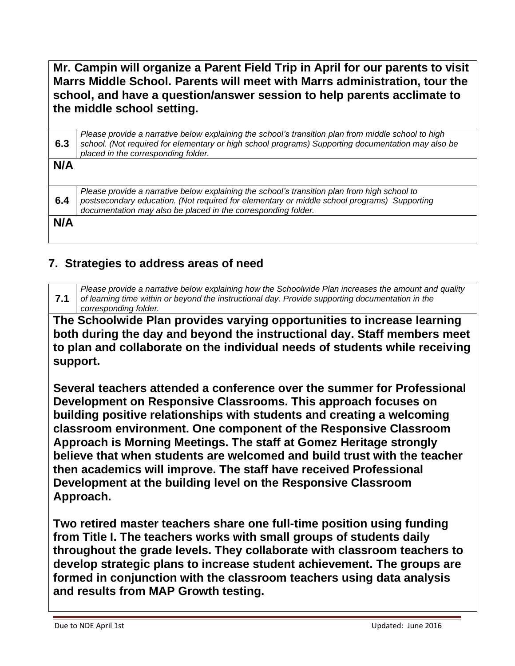**Mr. Campin will organize a Parent Field Trip in April for our parents to visit Marrs Middle School. Parents will meet with Marrs administration, tour the school, and have a question/answer session to help parents acclimate to the middle school setting.** 

| 6.3 | Please provide a narrative below explaining the school's transition plan from middle school to high<br>school. (Not required for elementary or high school programs) Supporting documentation may also be<br>placed in the corresponding folder.             |
|-----|--------------------------------------------------------------------------------------------------------------------------------------------------------------------------------------------------------------------------------------------------------------|
| N/A |                                                                                                                                                                                                                                                              |
| 6.4 | Please provide a narrative below explaining the school's transition plan from high school to<br>postsecondary education. (Not required for elementary or middle school programs) Supporting<br>documentation may also be placed in the corresponding folder. |
| N/A |                                                                                                                                                                                                                                                              |

### **7. Strategies to address areas of need**

**7.1** *Please provide a narrative below explaining how the Schoolwide Plan increases the amount and quality of learning time within or beyond the instructional day. Provide supporting documentation in the corresponding folder.*

**The Schoolwide Plan provides varying opportunities to increase learning both during the day and beyond the instructional day. Staff members meet to plan and collaborate on the individual needs of students while receiving support.**

**Several teachers attended a conference over the summer for Professional Development on Responsive Classrooms. This approach focuses on building positive relationships with students and creating a welcoming classroom environment. One component of the Responsive Classroom Approach is Morning Meetings. The staff at Gomez Heritage strongly believe that when students are welcomed and build trust with the teacher then academics will improve. The staff have received Professional Development at the building level on the Responsive Classroom Approach.** 

**Two retired master teachers share one full-time position using funding from Title I. The teachers works with small groups of students daily throughout the grade levels. They collaborate with classroom teachers to develop strategic plans to increase student achievement. The groups are formed in conjunction with the classroom teachers using data analysis and results from MAP Growth testing.**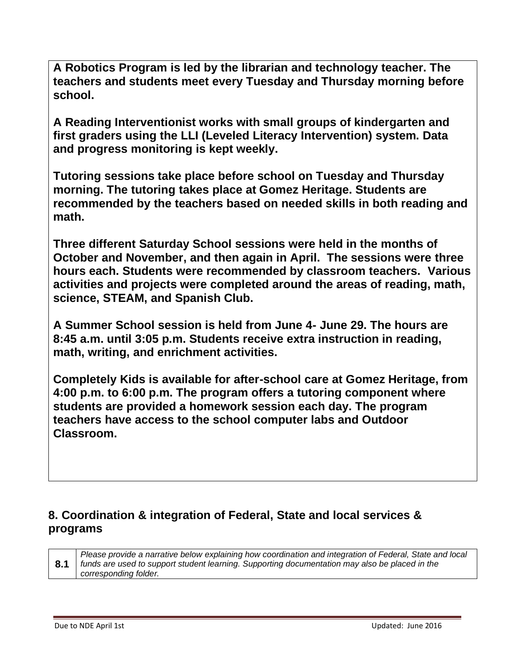**A Robotics Program is led by the librarian and technology teacher. The teachers and students meet every Tuesday and Thursday morning before school.** 

**A Reading Interventionist works with small groups of kindergarten and first graders using the LLI (Leveled Literacy Intervention) system. Data and progress monitoring is kept weekly.**

**Tutoring sessions take place before school on Tuesday and Thursday morning. The tutoring takes place at Gomez Heritage. Students are recommended by the teachers based on needed skills in both reading and math.** 

**Three different Saturday School sessions were held in the months of October and November, and then again in April. The sessions were three hours each. Students were recommended by classroom teachers. Various activities and projects were completed around the areas of reading, math, science, STEAM, and Spanish Club.** 

**A Summer School session is held from June 4- June 29. The hours are 8:45 a.m. until 3:05 p.m. Students receive extra instruction in reading, math, writing, and enrichment activities.** 

**Completely Kids is available for after-school care at Gomez Heritage, from 4:00 p.m. to 6:00 p.m. The program offers a tutoring component where students are provided a homework session each day. The program teachers have access to the school computer labs and Outdoor Classroom.** 

#### **8. Coordination & integration of Federal, State and local services & programs**

**8.1** *Please provide a narrative below explaining how coordination and integration of Federal, State and local funds are used to support student learning. Supporting documentation may also be placed in the corresponding folder.*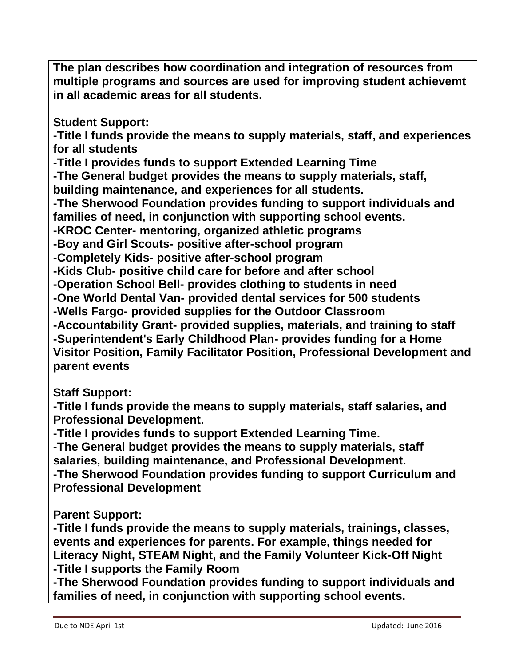**The plan describes how coordination and integration of resources from multiple programs and sources are used for improving student achievemt in all academic areas for all students.**

**Student Support:**

**-Title I funds provide the means to supply materials, staff, and experiences for all students**

**-Title I provides funds to support Extended Learning Time**

**-The General budget provides the means to supply materials, staff, building maintenance, and experiences for all students.** 

**-The Sherwood Foundation provides funding to support individuals and families of need, in conjunction with supporting school events.**

**-KROC Center- mentoring, organized athletic programs**

**-Boy and Girl Scouts- positive after-school program**

**-Completely Kids- positive after-school program**

**-Kids Club- positive child care for before and after school**

**-Operation School Bell- provides clothing to students in need**

**-One World Dental Van- provided dental services for 500 students**

**-Wells Fargo- provided supplies for the Outdoor Classroom**

**-Accountability Grant- provided supplies, materials, and training to staff -Superintendent's Early Childhood Plan- provides funding for a Home Visitor Position, Family Facilitator Position, Professional Development and parent events**

**Staff Support:**

**-Title I funds provide the means to supply materials, staff salaries, and Professional Development.**

**-Title I provides funds to support Extended Learning Time.**

**-The General budget provides the means to supply materials, staff salaries, building maintenance, and Professional Development. -The Sherwood Foundation provides funding to support Curriculum and Professional Development**

**Parent Support:**

**-Title I funds provide the means to supply materials, trainings, classes, events and experiences for parents. For example, things needed for Literacy Night, STEAM Night, and the Family Volunteer Kick-Off Night -Title I supports the Family Room**

**-The Sherwood Foundation provides funding to support individuals and families of need, in conjunction with supporting school events.**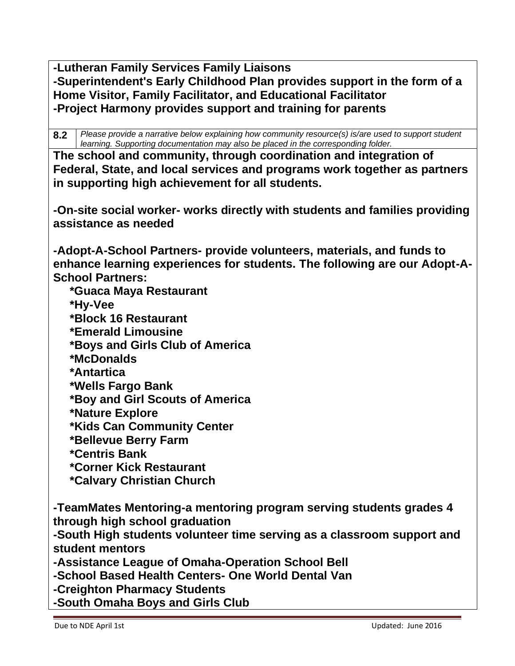**-Lutheran Family Services Family Liaisons -Superintendent's Early Childhood Plan provides support in the form of a Home Visitor, Family Facilitator, and Educational Facilitator -Project Harmony provides support and training for parents**

**8.2** *Please provide a narrative below explaining how community resource(s) is/are used to support student learning. Supporting documentation may also be placed in the corresponding folder.*

**The school and community, through coordination and integration of Federal, State, and local services and programs work together as partners in supporting high achievement for all students.** 

**-On-site social worker- works directly with students and families providing assistance as needed**

**-Adopt-A-School Partners- provide volunteers, materials, and funds to enhance learning experiences for students. The following are our Adopt-A-School Partners:**

 **\*Guaca Maya Restaurant**

 **\*Hy-Vee**

 **\*Block 16 Restaurant**

 **\*Emerald Limousine**

 **\*Boys and Girls Club of America**

 **\*McDonalds**

 **\*Antartica**

 **\*Wells Fargo Bank**

 **\*Boy and Girl Scouts of America**

 **\*Nature Explore**

 **\*Kids Can Community Center**

 **\*Bellevue Berry Farm**

 **\*Centris Bank**

 **\*Corner Kick Restaurant**

 **\*Calvary Christian Church**

**-TeamMates Mentoring-a mentoring program serving students grades 4 through high school graduation**

**-South High students volunteer time serving as a classroom support and student mentors**

**-Assistance League of Omaha-Operation School Bell**

**-School Based Health Centers- One World Dental Van**

**-Creighton Pharmacy Students**

**-South Omaha Boys and Girls Club**